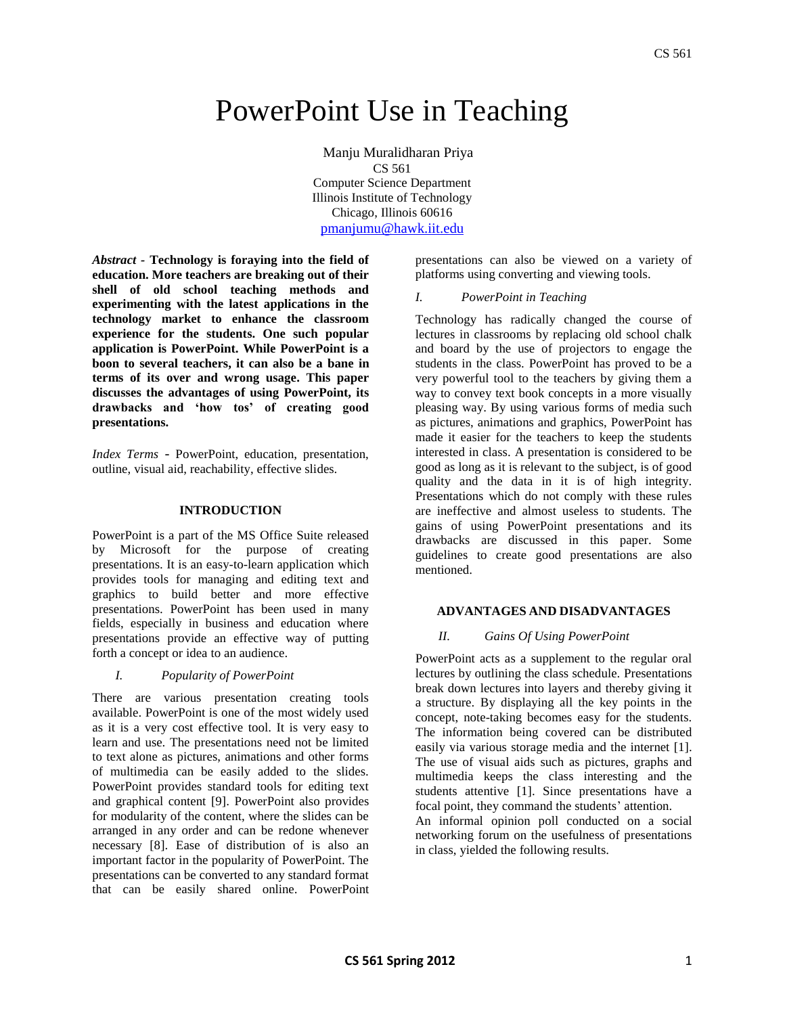# PowerPoint Use in Teaching

Manju Muralidharan Priya CS 561 Computer Science Department Illinois Institute of Technology Chicago, Illinois 60616 [pmanjumu@hawk.iit.edu](mailto:pmanjumu@hawk.iit.edu)

*Abstract -* **Technology is foraying into the field of education. More teachers are breaking out of their shell of old school teaching methods and experimenting with the latest applications in the technology market to enhance the classroom experience for the students. One such popular application is PowerPoint. While PowerPoint is a boon to several teachers, it can also be a bane in terms of its over and wrong usage. This paper discusses the advantages of using PowerPoint, its drawbacks and 'how tos' of creating good presentations.**

*Index Terms* - PowerPoint, education, presentation, outline, visual aid, reachability, effective slides.

# **INTRODUCTION**

PowerPoint is a part of the MS Office Suite released by Microsoft for the purpose of creating presentations. It is an easy-to-learn application which provides tools for managing and editing text and graphics to build better and more effective presentations. PowerPoint has been used in many fields, especially in business and education where presentations provide an effective way of putting forth a concept or idea to an audience.

#### *I. Popularity of PowerPoint*

There are various presentation creating tools available. PowerPoint is one of the most widely used as it is a very cost effective tool. It is very easy to learn and use. The presentations need not be limited to text alone as pictures, animations and other forms of multimedia can be easily added to the slides. PowerPoint provides standard tools for editing text and graphical content [9]. PowerPoint also provides for modularity of the content, where the slides can be arranged in any order and can be redone whenever necessary [8]. Ease of distribution of is also an important factor in the popularity of PowerPoint. The presentations can be converted to any standard format that can be easily shared online. PowerPoint

presentations can also be viewed on a variety of platforms using converting and viewing tools.

# *I. PowerPoint in Teaching*

Technology has radically changed the course of lectures in classrooms by replacing old school chalk and board by the use of projectors to engage the students in the class. PowerPoint has proved to be a very powerful tool to the teachers by giving them a way to convey text book concepts in a more visually pleasing way. By using various forms of media such as pictures, animations and graphics, PowerPoint has made it easier for the teachers to keep the students interested in class. A presentation is considered to be good as long as it is relevant to the subject, is of good quality and the data in it is of high integrity. Presentations which do not comply with these rules are ineffective and almost useless to students. The gains of using PowerPoint presentations and its drawbacks are discussed in this paper. Some guidelines to create good presentations are also mentioned.

# **ADVANTAGES AND DISADVANTAGES**

# *II. Gains Of Using PowerPoint*

PowerPoint acts as a supplement to the regular oral lectures by outlining the class schedule. Presentations break down lectures into layers and thereby giving it a structure. By displaying all the key points in the concept, note-taking becomes easy for the students. The information being covered can be distributed easily via various storage media and the internet [1]. The use of visual aids such as pictures, graphs and multimedia keeps the class interesting and the students attentive [1]. Since presentations have a focal point, they command the students' attention. An informal opinion poll conducted on a social networking forum on the usefulness of presentations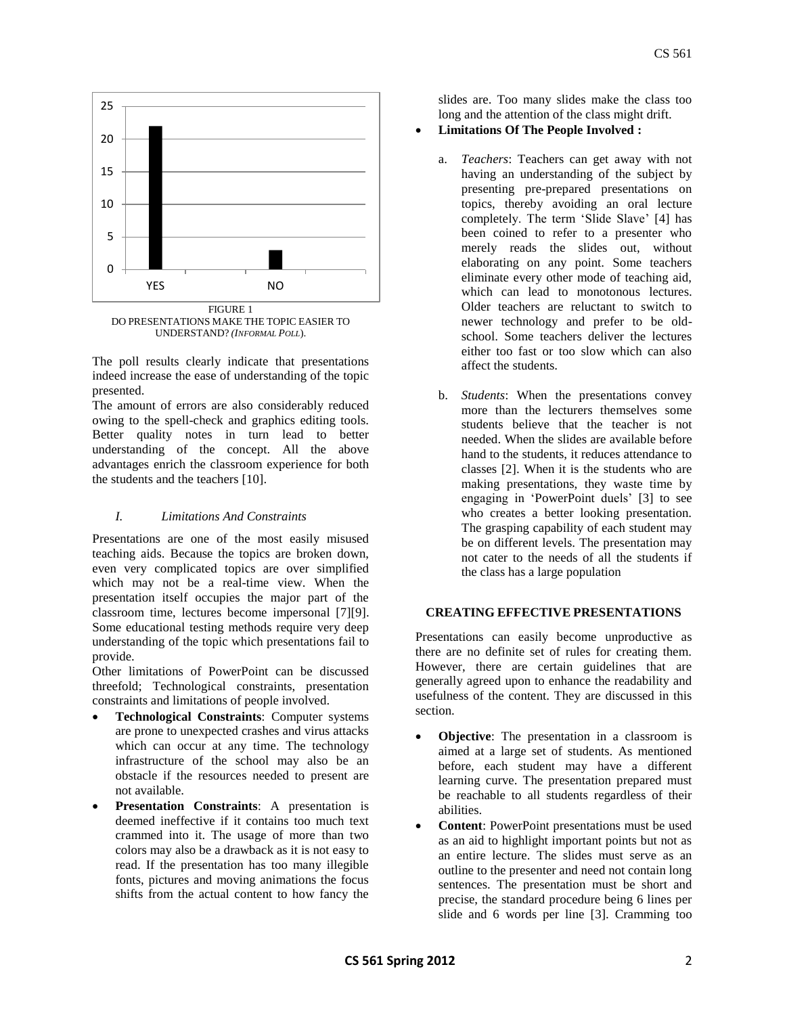

UNDERSTAND? *(INFORMAL POLL*).

The poll results clearly indicate that presentations indeed increase the ease of understanding of the topic presented.

The amount of errors are also considerably reduced owing to the spell-check and graphics editing tools. Better quality notes in turn lead to better understanding of the concept. All the above advantages enrich the classroom experience for both the students and the teachers [10].

# *I. Limitations And Constraints*

Presentations are one of the most easily misused teaching aids. Because the topics are broken down, even very complicated topics are over simplified which may not be a real-time view. When the presentation itself occupies the major part of the classroom time, lectures become impersonal [7][9]. Some educational testing methods require very deep understanding of the topic which presentations fail to provide.

Other limitations of PowerPoint can be discussed threefold; Technological constraints, presentation constraints and limitations of people involved.

- **Technological Constraints**: Computer systems are prone to unexpected crashes and virus attacks which can occur at any time. The technology infrastructure of the school may also be an obstacle if the resources needed to present are not available.
- **Presentation Constraints**: A presentation is deemed ineffective if it contains too much text crammed into it. The usage of more than two colors may also be a drawback as it is not easy to read. If the presentation has too many illegible fonts, pictures and moving animations the focus shifts from the actual content to how fancy the

slides are. Too many slides make the class too long and the attention of the class might drift.

# **Limitations Of The People Involved :**

- a. *Teachers*: Teachers can get away with not having an understanding of the subject by presenting pre-prepared presentations on topics, thereby avoiding an oral lecture completely. The term 'Slide Slave' [4] has been coined to refer to a presenter who merely reads the slides out, without elaborating on any point. Some teachers eliminate every other mode of teaching aid, which can lead to monotonous lectures. Older teachers are reluctant to switch to newer technology and prefer to be oldschool. Some teachers deliver the lectures either too fast or too slow which can also affect the students.
- b. *Students*: When the presentations convey more than the lecturers themselves some students believe that the teacher is not needed. When the slides are available before hand to the students, it reduces attendance to classes [2]. When it is the students who are making presentations, they waste time by engaging in 'PowerPoint duels' [3] to see who creates a better looking presentation. The grasping capability of each student may be on different levels. The presentation may not cater to the needs of all the students if the class has a large population

# **CREATING EFFECTIVE PRESENTATIONS**

Presentations can easily become unproductive as there are no definite set of rules for creating them. However, there are certain guidelines that are generally agreed upon to enhance the readability and usefulness of the content. They are discussed in this section.

- **Objective**: The presentation in a classroom is aimed at a large set of students. As mentioned before, each student may have a different learning curve. The presentation prepared must be reachable to all students regardless of their abilities.
- **Content**: PowerPoint presentations must be used as an aid to highlight important points but not as an entire lecture. The slides must serve as an outline to the presenter and need not contain long sentences. The presentation must be short and precise, the standard procedure being 6 lines per slide and 6 words per line [3]. Cramming too